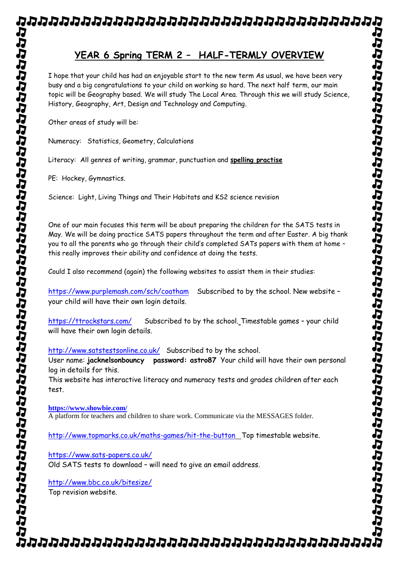## **YEAR 6 Spring TERM 2 – HALF-TERMLY OVERVIEW**

I hope that your child has had an enjoyable start to the new term As usual, we have been very busy and a big congratulations to your child on working so hard. The next half term, our main topic will be Geography based. We will study The Local Area. Through this we will study Science, History, Geography, Art, Design and Technology and Computing.

Other areas of study will be:

Numeracy: Statistics, Geometry, Calculations

Literacy: All genres of writing, grammar, punctuation and **spelling practise**

PE: Hockey, Gymnastics.

Science: Light, Living Things and Their Habitats and KS2 science revision

One of our main focuses this term will be about preparing the children for the SATS tests in May. We will be doing practice SATS papers throughout the term and after Easter. A big thank you to all the parents who go through their child's completed SATs papers with them at home – this really improves their ability and confidence at doing the tests.

Could I also recommend (again) the following websites to assist them in their studies:

<https://www.purplemash.com/sch/coatham>Subscribed to by the school. New website – your child will have their own login details.

<https://ttrockstars.com/>Subscribed to by the school. Timestable games – your child will have their own login details.

<http://www.satstestsonline.co.uk/>Subscribed to by the school.

User name: **jacknelsonbouncy password: astro87** Your child will have their own personal log in details for this.

This website has interactive literacy and numeracy tests and grades children after each test.

**<https://www.showbie.com/>** A platform for teachers and children to share work. Communicate via the MESSAGES folder.

<http://www.topmarks.co.uk/maths-games/hit-the-button> Top timestable website.

<https://www.sats-papers.co.uk/> Old SATS tests to download – will need to give an email address.

<http://www.bbc.co.uk/bitesize/> Top revision website.